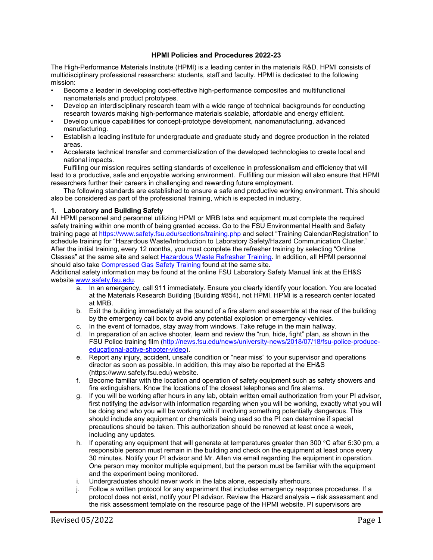## **HPMI Policies and Procedures 2022-23**

The High-Performance Materials Institute (HPMI) is a leading center in the materials R&D. HPMI consists of multidisciplinary professional researchers: students, staff and faculty. HPMI is dedicated to the following mission:

- Become a leader in developing cost-effective high-performance composites and multifunctional nanomaterials and product prototypes.
- Develop an interdisciplinary research team with a wide range of technical backgrounds for conducting research towards making high-performance materials scalable, affordable and energy efficient.
- Develop unique capabilities for concept-prototype development, nanomanufacturing, advanced manufacturing.
- Establish a leading institute for undergraduate and graduate study and degree production in the related areas.
- Accelerate technical transfer and commercialization of the developed technologies to create local and national impacts.

Fulfilling our mission requires setting standards of excellence in professionalism and efficiency that will lead to a productive, safe and enjoyable working environment. Fulfilling our mission will also ensure that HPMI researchers further their careers in challenging and rewarding future employment.

The following standards are established to ensure a safe and productive working environment. This should also be considered as part of the professional training, which is expected in industry.

#### **1. Laboratory and Building Safety**

All HPMI personnel and personnel utilizing HPMI or MRB labs and equipment must complete the required safety training within one month of being granted access. Go to the FSU Environmental Health and Safety training page at<https://www.safety.fsu.edu/sections/training.php> and select "Training Calendar/Registration" to schedule training for "Hazardous Waste/Introduction to Laboratory Safety/Hazard Communication Cluster." After the initial training, every 12 months, you must complete the refresher training by selecting "Online Classes" at the same site and select [Hazardous Waste Refresher Training.](https://www.safety.fsu.edu/sections/trainingonline-hazwaste.php) In addition, all HPMI personnel should also take [Compressed Gas Safety Training](https://www.safety.fsu.edu/sections/trainingonline-compressedgas.php) found at the same site.

Additional safety information may be found at the online FSU Laboratory Safety Manual link at the EH&S website [www.safety.fsu.edu.](http://www.safety.fsu.edu/)

- a. In an emergency, call 911 immediately. Ensure you clearly identify your location. You are located at the Materials Research Building (Building #854), not HPMI. HPMI is a research center located at MRB.
- b. Exit the building immediately at the sound of a fire alarm and assemble at the rear of the building by the emergency call box to avoid any potential explosion or emergency vehicles.
- c. In the event of tornados, stay away from windows. Take refuge in the main hallway.
- d. In preparation of an active shooter, learn and review the "run, hide, fight" plan, as shown in the FSU Police training film [\(http://news.fsu.edu/news/university-news/2018/07/18/fsu-police-produce](http://news.fsu.edu/news/university-news/2018/07/18/fsu-police-produce-educational-active-shooter-video)[educational-active-shooter-video\)](http://news.fsu.edu/news/university-news/2018/07/18/fsu-police-produce-educational-active-shooter-video).
- e. Report any injury, accident, unsafe condition or "near miss" to your supervisor and operations director as soon as possible. In addition, this may also be reported at the EH&S (https://www.safety.fsu.edu) website.
- f. Become familiar with the location and operation of safety equipment such as safety showers and fire extinguishers. Know the locations of the closest telephones and fire alarms.
- g. If you will be working after hours in any lab, obtain written email authorization from your PI advisor, first notifying the advisor with information regarding when you will be working, exactly what you will be doing and who you will be working with if involving something potentially dangerous. This should include any equipment or chemicals being used so the PI can determine if special precautions should be taken. This authorization should be renewed at least once a week, including any updates.
- h. If operating any equipment that will generate at temperatures greater than 300 °C after 5:30 pm, a responsible person must remain in the building and check on the equipment at least once every 30 minutes. Notify your PI advisor and Mr. Allen via email regarding the equipment in operation. One person may monitor multiple equipment, but the person must be familiar with the equipment and the experiment being monitored.
- i. Undergraduates should never work in the labs alone, especially afterhours.
- j. Follow a written protocol for any experiment that includes emergency response procedures. If a protocol does not exist, notify your PI advisor. Review the Hazard analysis – risk assessment and the risk assessment template on the resource page of the HPMI website. PI supervisors are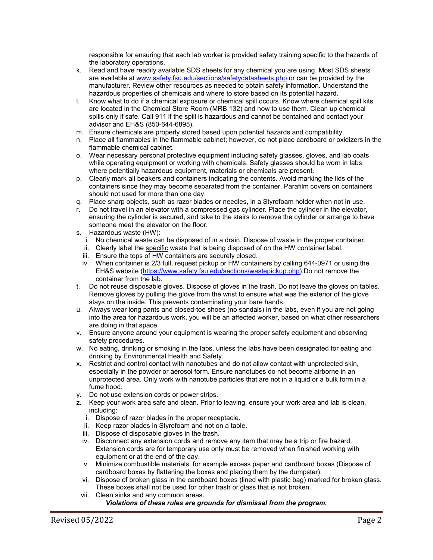responsible for ensuring that each lab worker is provided safety training specific to the hazards of the laboratory operations.

- k. Read and have readily available SDS sheets for any chemical you are using. Most SDS sheets are available at [www.safety.fsu.edu/sections/safetydatasheets.php](http://www.safety.fsu.edu/sections/safetydatasheets.php) or can be provided by the manufacturer. Review other resources as needed to obtain safety information. Understand the hazardous properties of chemicals and where to store based on its potential hazard.
- l. Know what to do if a chemical exposure or chemical spill occurs. Know where chemical spill kits are located in the Chemical Store Room (MRB 132) and how to use them. Clean up chemical spills only if safe. Call 911 if the spill is hazardous and cannot be contained and contact your advisor and EH&S (850-644-6895).
- m. Ensure chemicals are properly stored based upon potential hazards and compatibility.
- n. Place all flammables in the flammable cabinet; however, do not place cardboard or oxidizers in the flammable chemical cabinet.
- o. Wear necessary personal protective equipment including safety glasses, gloves, and lab coats while operating equipment or working with chemicals. Safety glasses should be worn in labs where potentially hazardous equipment, materials or chemicals are present.
- p. Clearly mark all beakers and containers indicating the contents. Avoid marking the lids of the containers since they may become separated from the container. Parafilm covers on containers should not used for more than one day.
- q. Place sharp objects, such as razor blades or needles, in a Styrofoam holder when not in use.
- r. Do not travel in an elevator with a compressed gas cylinder. Place the cylinder in the elevator, ensuring the cylinder is secured, and take to the stairs to remove the cylinder or arrange to have someone meet the elevator on the floor.
- s. Hazardous waste (HW):
	- i. No chemical waste can be disposed of in a drain. Dispose of waste in the proper container.
	- ii. Clearly label the specific waste that is being disposed of on the HW container label.
	- iii. Ensure the tops of HW containers are securely closed.
	- iv. When container is 2/3 full, request pickup or HW containers by calling 644-0971 or using the EH&S website [\(https://www.safety.fsu.edu/sections/wastepickup.php\)](https://www.safety.fsu.edu/sections/wastepickup.php).Do not remove the container from the lab.
- t. Do not reuse disposable gloves. Dispose of gloves in the trash. Do not leave the gloves on tables. Remove gloves by pulling the glove from the wrist to ensure what was the exterior of the glove stays on the inside. This prevents contaminating your bare hands.
- u. Always wear long pants and closed-toe shoes (no sandals) in the labs, even if you are not going into the area for hazardous work, you will be an affected worker, based on what other researchers are doing in that space.
- v. Ensure anyone around your equipment is wearing the proper safety equipment and observing safety procedures.
- w. No eating, drinking or smoking in the labs, unless the labs have been designated for eating and drinking by Environmental Health and Safety.
- x. Restrict and control contact with nanotubes and do not allow contact with unprotected skin, especially in the powder or aerosol form. Ensure nanotubes do not become airborne in an unprotected area. Only work with nanotube particles that are not in a liquid or a bulk form in a fume hood.
- y. Do not use extension cords or power strips.
- z. Keep your work area safe and clean. Prior to leaving, ensure your work area and lab is clean, including:
	- i. Dispose of razor blades in the proper receptacle.
	- ii. Keep razor blades in Styrofoam and not on a table.
	- iii. Dispose of disposable gloves in the trash.
	- iv. Disconnect any extension cords and remove any item that may be a trip or fire hazard. Extension cords are for temporary use only must be removed when finished working with equipment or at the end of the day.
	- v. Minimize combustible materials, for example excess paper and cardboard boxes (Dispose of cardboard boxes by flattening the boxes and placing them by the dumpster).
	- vi. Dispose of broken glass in the cardboard boxes (lined with plastic bag) marked for broken glass. These boxes shall not be used for other trash or glass that is not broken.
	- vii. Clean sinks and any common areas.

# *Violations of these rules are grounds for dismissal from the program.*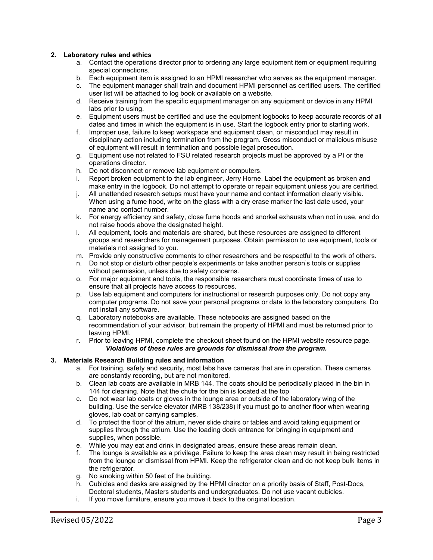### **2. Laboratory rules and ethics**

- a. Contact the operations director prior to ordering any large equipment item or equipment requiring special connections.
- b. Each equipment item is assigned to an HPMI researcher who serves as the equipment manager.
- c. The equipment manager shall train and document HPMI personnel as certified users. The certified user list will be attached to log book or available on a website.
- d. Receive training from the specific equipment manager on any equipment or device in any HPMI labs prior to using.
- e. Equipment users must be certified and use the equipment logbooks to keep accurate records of all dates and times in which the equipment is in use. Start the logbook entry prior to starting work.
- f. Improper use, failure to keep workspace and equipment clean, or misconduct may result in disciplinary action including termination from the program. Gross misconduct or malicious misuse of equipment will result in termination and possible legal prosecution.
- g. Equipment use not related to FSU related research projects must be approved by a PI or the operations director.
- h. Do not disconnect or remove lab equipment or computers.<br>i. Report broken equipment to the lab engineer. Jerry Horne.
- Report broken equipment to the lab engineer, Jerry Horne. Label the equipment as broken and make entry in the logbook. Do not attempt to operate or repair equipment unless you are certified.
- j. All unattended research setups must have your name and contact information clearly visible. When using a fume hood, write on the glass with a dry erase marker the last date used, your name and contact number.
- k. For energy efficiency and safety, close fume hoods and snorkel exhausts when not in use, and do not raise hoods above the designated height.
- l. All equipment, tools and materials are shared, but these resources are assigned to different groups and researchers for management purposes. Obtain permission to use equipment, tools or materials not assigned to you.
- m. Provide only constructive comments to other researchers and be respectful to the work of others.
- n. Do not stop or disturb other people's experiments or take another person's tools or supplies without permission, unless due to safety concerns.
- o. For major equipment and tools, the responsible researchers must coordinate times of use to ensure that all projects have access to resources.
- p. Use lab equipment and computers for instructional or research purposes only. Do not copy any computer programs. Do not save your personal programs or data to the laboratory computers. Do not install any software.
- q. Laboratory notebooks are available. These notebooks are assigned based on the recommendation of your advisor, but remain the property of HPMI and must be returned prior to leaving HPMI.
- r. Prior to leaving HPMI, complete the checkout sheet found on the HPMI website resource page. *Violations of these rules are grounds for dismissal from the program.*

### **3. Materials Research Building rules and information**

- a. For training, safety and security, most labs have cameras that are in operation. These cameras are constantly recording, but are not monitored.
- b. Clean lab coats are available in MRB 144. The coats should be periodically placed in the bin in 144 for cleaning. Note that the chute for the bin is located at the top
- c. Do not wear lab coats or gloves in the lounge area or outside of the laboratory wing of the building. Use the service elevator (MRB 138/238) if you must go to another floor when wearing gloves, lab coat or carrying samples.
- d. To protect the floor of the atrium, never slide chairs or tables and avoid taking equipment or supplies through the atrium. Use the loading dock entrance for bringing in equipment and supplies, when possible.
- e. While you may eat and drink in designated areas, ensure these areas remain clean.
- f. The lounge is available as a privilege. Failure to keep the area clean may result in being restricted from the lounge or dismissal from HPMI. Keep the refrigerator clean and do not keep bulk items in the refrigerator.
- g. No smoking within 50 feet of the building.
- h. Cubicles and desks are assigned by the HPMI director on a priority basis of Staff, Post-Docs, Doctoral students, Masters students and undergraduates. Do not use vacant cubicles.
- i. If you move furniture, ensure you move it back to the original location.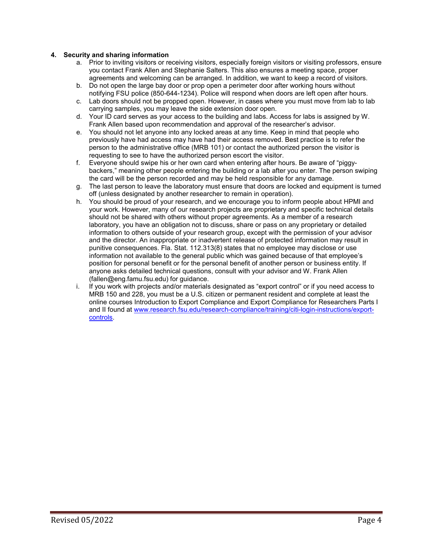### **4. Security and sharing information**

- a. Prior to inviting visitors or receiving visitors, especially foreign visitors or visiting professors, ensure you contact Frank Allen and Stephanie Salters. This also ensures a meeting space, proper agreements and welcoming can be arranged. In addition, we want to keep a record of visitors.
- b. Do not open the large bay door or prop open a perimeter door after working hours without notifying FSU police (850-644-1234). Police will respond when doors are left open after hours.
- c. Lab doors should not be propped open. However, in cases where you must move from lab to lab carrying samples, you may leave the side extension door open.
- d. Your ID card serves as your access to the building and labs. Access for labs is assigned by W. Frank Allen based upon recommendation and approval of the researcher's advisor.
- e. You should not let anyone into any locked areas at any time. Keep in mind that people who previously have had access may have had their access removed. Best practice is to refer the person to the administrative office (MRB 101) or contact the authorized person the visitor is requesting to see to have the authorized person escort the visitor.
- f. Everyone should swipe his or her own card when entering after hours. Be aware of "piggybackers," meaning other people entering the building or a lab after you enter. The person swiping the card will be the person recorded and may be held responsible for any damage.
- g. The last person to leave the laboratory must ensure that doors are locked and equipment is turned off (unless designated by another researcher to remain in operation).
- h. You should be proud of your research, and we encourage you to inform people about HPMI and your work. However, many of our research projects are proprietary and specific technical details should not be shared with others without proper agreements. As a member of a research laboratory, you have an obligation not to discuss, share or pass on any proprietary or detailed information to others outside of your research group, except with the permission of your advisor and the director. An inappropriate or inadvertent release of protected information may result in punitive consequences. Fla. Stat. 112.313(8) states that no employee may disclose or use information not available to the general public which was gained because of that employee's position for personal benefit or for the personal benefit of another person or business entity. If anyone asks detailed technical questions, consult with your advisor and W. Frank Allen (fallen@eng.famu.fsu.edu) for guidance.
- i. If you work with projects and/or materials designated as "export control" or if you need access to MRB 150 and 228, you must be a U.S. citizen or permanent resident and complete at least the online courses Introduction to Export Compliance and Export Compliance for Researchers Parts I and II found at [www.research.fsu.edu/research-compliance/training/citi-login-instructions/export](http://www.research.fsu.edu/research-compliance/training/citi-login-instructions/export-controls)[controls.](http://www.research.fsu.edu/research-compliance/training/citi-login-instructions/export-controls)